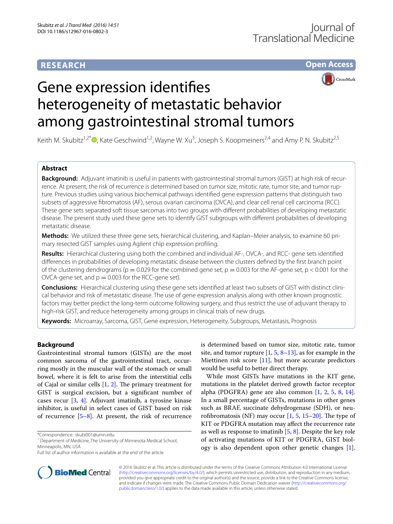## **RESEARCH**

## **Open Access**



# Gene expression identifies heterogeneity of metastatic behavior among gastrointestinal stromal tumors

Keith M. Skubitz<sup>1,2\*</sup> <sup>(D</sup>)[,](http://orcid.org/0000-0002-0690-9595) Kate Geschwind<sup>1,2</sup>, Wayne W. Xu<sup>3</sup>, Joseph S. Koopmeiners<sup>2,4</sup> and Amy P. N. Skubitz<sup>2,5</sup>

## **Abstract**

**Background:** Adjuvant imatinib is useful in patients with gastrointestinal stromal tumors (GIST) at high risk of recurrence. At present, the risk of recurrence is determined based on tumor size, mitotic rate, tumor site, and tumor rupture. Previous studies using various biochemical pathways identified gene expression patterns that distinguish two subsets of aggressive fibromatosis (AF), serous ovarian carcinoma (OVCA), and clear cell renal cell carcinoma (RCC). These gene sets separated soft tissue sarcomas into two groups with different probabilities of developing metastatic disease. The present study used these gene sets to identify GIST subgroups with different probabilities of developing metastatic disease.

**Methods:** We utilized these three gene sets, hierarchical clustering, and Kaplan–Meier analysis, to examine 60 primary resected GIST samples using Agilent chip expression profiling.

**Results:** Hierarchical clustering using both the combined and individual AF-, OVCA-, and RCC- gene sets identified differences in probabilities of developing metastatic disease between the clusters defined by the first branch point of the clustering dendrograms ( $p = 0.029$  for the combined gene set,  $p = 0.003$  for the AF-gene set,  $p < 0.001$  for the OVCA-gene set, and  $p = 0.003$  for the RCC-gene set).

**Conclusions:** Hierarchical clustering using these gene sets identified at least two subsets of GIST with distinct clinical behavior and risk of metastatic disease. The use of gene expression analysis along with other known prognostic factors may better predict the long-term outcome following surgery, and thus restrict the use of adjuvant therapy to high-risk GIST, and reduce heterogeneity among groups in clinical trials of new drugs.

**Keywords:** Microarray, Sarcoma, GIST, Gene expression, Heterogeneity, Subgroups, Metastasis, Prognosis

## **Background**

Gastrointestinal stromal tumors (GISTs) are the most common sarcoma of the gastrointestinal tract, occurring mostly in the muscular wall of the stomach or small bowel, where it is felt to arise from the interstitial cells of Cajal or similar cells [[1,](#page-5-0) [2\]](#page-5-1). The primary treatment for GIST is surgical excision, but a significant number of cases recur [\[3,](#page-5-2) [4](#page-5-3)]. Adjuvant imatinib, a tyrosine kinase inhibitor, is useful in select cases of GIST based on risk of recurrence [[5–](#page-5-4)[8](#page-6-0)]. At present, the risk of recurrence

\*Correspondence: skubi001@umn.edu

is determined based on tumor size, mitotic rate, tumor site, and tumor rupture  $[1, 5, 8-13]$  $[1, 5, 8-13]$  $[1, 5, 8-13]$  $[1, 5, 8-13]$  $[1, 5, 8-13]$ , as for example in the Miettinen risk score  $[11]$  $[11]$  $[11]$ , but more accurate predictors would be useful to better direct therapy.

While most GISTs have mutations in the KIT gene, mutations in the platelet derived growth factor receptor alpha (PDGFRA) gene are also common  $[1, 2, 5, 8, 14]$  $[1, 2, 5, 8, 14]$  $[1, 2, 5, 8, 14]$  $[1, 2, 5, 8, 14]$  $[1, 2, 5, 8, 14]$  $[1, 2, 5, 8, 14]$  $[1, 2, 5, 8, 14]$  $[1, 2, 5, 8, 14]$  $[1, 2, 5, 8, 14]$  $[1, 2, 5, 8, 14]$  $[1, 2, 5, 8, 14]$ . In a small percentage of GISTs, mutations in other genes such as BRAF, succinate dehydrogenase (SDH), or neurofibromatosis (NF) may occur  $[1, 5, 15-20]$  $[1, 5, 15-20]$  $[1, 5, 15-20]$  $[1, 5, 15-20]$  $[1, 5, 15-20]$ . The type of KIT or PDGFRA mutation may affect the recurrence rate as well as response to imatinib [[5,](#page-5-4) [8](#page-6-0)]. Despite the key role of activating mutations of KIT or PDGFRA, GIST biology is also dependent upon other genetic changes [\[1](#page-5-0)].



© 2016 Skubitz et al. This article is distributed under the terms of the Creative Commons Attribution 4.0 International License [\(http://creativecommons.org/licenses/by/4.0/\)](http://creativecommons.org/licenses/by/4.0/), which permits unrestricted use, distribution, and reproduction in any medium, provided you give appropriate credit to the original author(s) and the source, provide a link to the Creative Commons license, and indicate if changes were made. The Creative Commons Public Domain Dedication waiver ([http://creativecommons.org/](http://creativecommons.org/publicdomain/zero/1.0/) [publicdomain/zero/1.0/](http://creativecommons.org/publicdomain/zero/1.0/)) applies to the data made available in this article, unless otherwise stated.

<sup>&</sup>lt;sup>1</sup> Department of Medicine, The University of Minnesota Medical School, Minneapolis, MN, USA

Full list of author information is available at the end of the article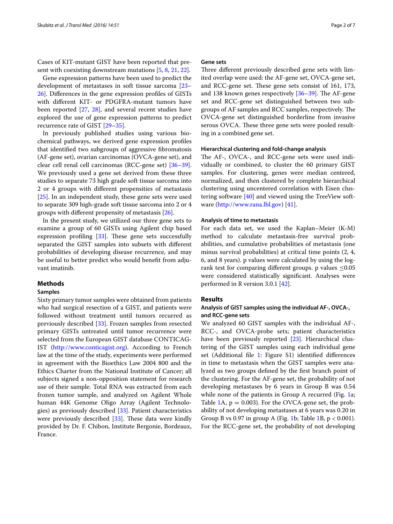Cases of KIT-mutant GIST have been reported that present with coexisting downstream mutations [\[5](#page-5-4), [8,](#page-6-0) [21](#page-6-6), [22](#page-6-7)].

Gene expression patterns have been used to predict the development of metastases in soft tissue sarcoma [[23–](#page-6-8) [26\]](#page-6-9). Differences in the gene expression profiles of GISTs with different KIT- or PDGFRA-mutant tumors have been reported [\[27](#page-6-10), [28](#page-6-11)], and several recent studies have explored the use of gene expression patterns to predict recurrence rate of GIST [\[29](#page-6-12)[–35](#page-6-13)].

In previously published studies using various biochemical pathways, we derived gene expression profiles that identified two subgroups of aggressive fibromatosis (AF-gene set), ovarian carcinomas (OVCA-gene set), and clear cell renal cell carcinomas (RCC-gene set) [[36](#page-6-14)[–39](#page-6-15)]. We previously used a gene set derived from these three studies to separate 73 high grade soft tissue sarcoma into 2 or 4 groups with different propensities of metastasis [[25\]](#page-6-16). In an independent study, these gene sets were used to separate 309 high-grade soft tissue sarcoma into 2 or 4 groups with different propensity of metastasis [\[26\]](#page-6-9).

In the present study, we utilized our three gene sets to examine a group of 60 GISTs using Agilent chip based expression profiling [\[33](#page-6-17)]. These gene sets successfully separated the GIST samples into subsets with different probabilities of developing disease recurrence, and may be useful to better predict who would benefit from adjuvant imatinib.

## **Methods**

## **Samples**

Sixty primary tumor samples were obtained from patients who had surgical resection of a GIST, and patients were followed without treatment until tumors recurred as previously described [\[33\]](#page-6-17). Frozen samples from resected primary GISTs untreated until tumor recurrence were selected from the European GIST database CONTICAG-IST [\(http://www.conticagist.org\)](http://www.conticagist.org). According to French law at the time of the study, experiments were performed in agreement with the Bioethics Law 2004 800 and the Ethics Charter from the National Institute of Cancer; all subjects signed a non-opposition statement for research use of their sample. Total RNA was extracted from each frozen tumor sample, and analyzed on Agilent Whole human 44K Genome Oligo Array (Agilent Technologies) as previously described [\[33](#page-6-17)]. Patient characteristics were previously described [\[33](#page-6-17)]. These data were kindly provided by Dr. F. Chibon, Institute Bergonie, Bordeaux, France.

## **Gene sets**

Three different previously described gene sets with limited overlap were used: the AF-gene set, OVCA-gene set, and RCC-gene set. These gene sets consist of 161, 173, and 138 known genes respectively [[36](#page-6-14)[–39](#page-6-15)]. The AF-gene set and RCC-gene set distinguished between two subgroups of AF samples and RCC samples, respectively. The OVCA-gene set distinguished borderline from invasive serous OVCA. These three gene sets were pooled resulting in a combined gene set.

## **Hierarchical clustering and fold‑change analysis**

The AF-, OVCA-, and RCC-gene sets were used individually or combined, to cluster the 60 primary GIST samples. For clustering, genes were median centered, normalized, and then clustered by complete hierarchical clustering using uncentered correlation with Eisen clustering software [[40\]](#page-6-18) and viewed using the TreeView software ([http://www.rana.lbl.gov\)](http://www.rana.lbl.gov) [\[41](#page-6-19)].

## **Analysis of time to metastasis**

For each data set, we used the Kaplan–Meier (K-M) method to calculate metastasis-free survival probabilities, and cumulative probabilities of metastasis (one minus survival probabilities) at critical time points (2, 4, 6, and 8 years). p values were calculated by using the logrank test for comparing different groups. p values  $\leq 0.05$ were considered statistically significant. Analyses were performed in R version 3.0.1 [\[42](#page-6-20)].

## **Results**

## **Analysis of GIST samples using the individual AF‑, OVCA‑, and RCC‑gene sets**

We analyzed 60 GIST samples with the individual AF-, RCC-, and OVCA-probe sets; patient characteristics have been previously reported [\[23](#page-6-8)]. Hierarchical clustering of the GIST samples using each individual gene set (Additional file [1:](#page-5-5) Figure S1) identified differences in time to metastasis when the GIST samples were analyzed as two groups defined by the first branch point of the clustering. For the AF-gene set, the probability of not developing metastases by 6 years in Group B was 0.54 while none of the patients in Group A recurred (Fig. [1a](#page-2-0); Table [1A](#page-3-0),  $p = 0.003$ ). For the OVCA-gene set, the probability of not developing metastases at 6 years was 0.20 in Group B vs 0.97 in group A (Fig. [1](#page-2-0)b; Table [1B](#page-3-0),  $p < 0.001$ ). For the RCC-gene set, the probability of not developing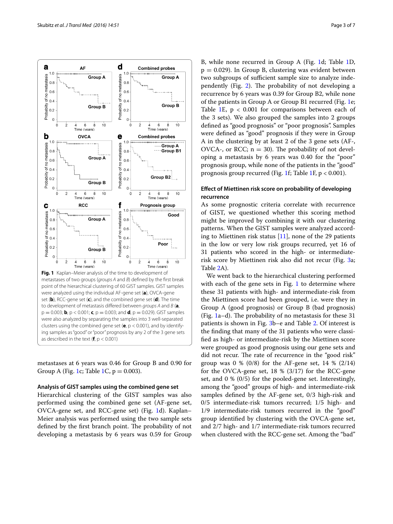



<span id="page-2-0"></span>metastases at 6 years was 0.46 for Group B and 0.90 for Group A (Fig. [1](#page-2-0)c; Table [1C](#page-3-0),  $p = 0.003$ ).

## **Analysis of GIST samples using the combined gene set**

Hierarchical clustering of the GIST samples was also performed using the combined gene set (AF-gene set, OVCA-gene set, and RCC-gene set) (Fig. [1](#page-2-0)d). Kaplan– Meier analysis was performed using the two sample sets defined by the first branch point. The probability of not developing a metastasis by 6 years was 0.59 for Group B, while none recurred in Group A (Fig. [1d](#page-2-0); Table [1](#page-3-0)D,  $p = 0.029$ ). In Group B, clustering was evident between two subgroups of sufficient sample size to analyze independently (Fig. [2\)](#page-3-1). The probability of not developing a recurrence by 6 years was 0.39 for Group B2, while none of the patients in Group A or Group B1 recurred (Fig. [1e](#page-2-0); Table [1](#page-3-0)E,  $p < 0.001$  for comparisons between each of the 3 sets). We also grouped the samples into 2 groups defined as "good prognosis" or "poor prognosis". Samples were defined as "good" prognosis if they were in Group A in the clustering by at least 2 of the 3 gene sets (AF-, OVCA-, or RCC;  $n = 30$ ). The probability of not developing a metastasis by 6 years was 0.40 for the "poor" prognosis group, while none of the patients in the "good" prognosis group recurred (Fig. [1f](#page-2-0); Table [1F](#page-3-0), p < 0.001).

## **Effect of Miettinen risk score on probability of developing recurrence**

As some prognostic criteria correlate with recurrence of GIST, we questioned whether this scoring method might be improved by combining it with our clustering patterns. When the GIST samples were analyzed according to Miettinen risk status  $[11]$ , none of the 29 patients in the low or very low risk groups recurred, yet 16 of 31 patients who scored in the high- or intermediaterisk score by Miettinen risk also did not recur (Fig. [3a](#page-4-0); Table [2](#page-5-6)A).

We went back to the hierarchical clustering performed with each of the gene sets in Fig. [1](#page-2-0) to determine where these 31 patients with high- and intermediate-risk from the Miettinen score had been grouped, i.e. were they in Group A (good prognosis) or Group B (bad prognosis) (Fig. [1a](#page-2-0)–d). The probability of no metastasis for these 31 patients is shown in Fig. [3b](#page-4-0)–e and Table [2.](#page-5-6) Of interest is the finding that many of the 31 patients who were classified as high- or intermediate-risk by the Miettinen score were grouped as good prognosis using our gene sets and did not recur. The rate of recurrence in the "good risk" group was 0 % (0/8) for the AF-gene set, 14 % (2/14) for the OVCA-gene set,  $18 \% (3/17)$  for the RCC-gene set, and 0 % (0/5) for the pooled-gene set. Interestingly, among the "good" groups of high- and intermediate-risk samples defined by the AF-gene set, 0/3 high-risk and 0/5 intermediate-risk tumors recurred; 1/5 high- and 1/9 intermediate-risk tumors recurred in the "good" group identified by clustering with the OVCA-gene set, and 2/7 high- and 1/7 intermediate-risk tumors recurred when clustered with the RCC-gene set. Among the "bad"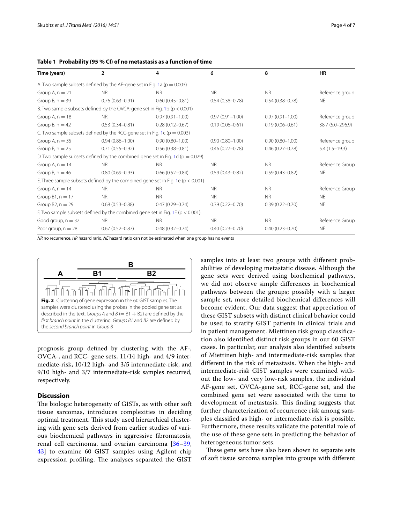<span id="page-3-0"></span>**Table 1 Probability (95 % CI) of no metastasis as a function of time**

| Time (years)         | $\overline{2}$                                                                      | 4                   | 6                   | 8                   | <b>HR</b>        |
|----------------------|-------------------------------------------------------------------------------------|---------------------|---------------------|---------------------|------------------|
|                      | A. Two sample subsets defined by the AF-gene set in Fig. 1a ( $p = 0.003$ )         |                     |                     |                     |                  |
| Group A, $n = 21$    | NR.                                                                                 | <b>NR</b>           | <b>NR</b>           | <b>NR</b>           | Reference group  |
| Group B, $n = 39$    | $0.76(0.63 - 0.91)$                                                                 | $0.60(0.45 - 0.81)$ | $0.54(0.38 - 0.78)$ | $0.54(0.38 - 0.78)$ | <b>NE</b>        |
|                      | B. Two sample subsets defined by the OVCA-gene set in Fig. 1b ( $p < 0.001$ )       |                     |                     |                     |                  |
| Group A, $n = 18$    | <b>NR</b>                                                                           | $0.97(0.91 - 1.00)$ | $0.97(0.91 - 1.00)$ | $0.97(0.91 - 1.00)$ | Reference group  |
| Group B, $n = 42$    | $0.53(0.34 - 0.81)$                                                                 | $0.28(0.12 - 0.67)$ | $0.19(0.06 - 0.61)$ | $0.19(0.06 - 0.61)$ | 38.7 (5.0-296.9) |
|                      | C. Two sample subsets defined by the RCC-gene set in Fig. 1c ( $p = 0.003$ )        |                     |                     |                     |                  |
| Group A, $n = 35$    | $0.94(0.86 - 1.00)$                                                                 | $0.90(0.80 - 1.00)$ | $0.90(0.80 - 1.00)$ | $0.90(0.80 - 1.00)$ | Reference group  |
| Group B, $n = 25$    | $0.71(0.55 - 0.92)$                                                                 | $0.56(0.38 - 0.81)$ | $0.46(0.27 - 0.78)$ | $0.46(0.27 - 0.78)$ | $5.4(1.5-19.3)$  |
|                      | D. Two sample subsets defined by the combined gene set in Fig. 1d ( $p = 0.029$ )   |                     |                     |                     |                  |
| Group A, $n = 14$    | <b>NR</b>                                                                           | <b>NR</b>           | NR.                 | <b>NR</b>           | Reference Group  |
| Group B, $n = 46$    | $0.80(0.69 - 0.93)$                                                                 | $0.66(0.52 - 0.84)$ | $0.59(0.43 - 0.82)$ | $0.59(0.43 - 0.82)$ | <b>NE</b>        |
|                      | E. Three sample subsets defined by the combined gene set in Fig. 1e ( $p < 0.001$ ) |                     |                     |                     |                  |
| Group A, $n = 14$    | <b>NR</b>                                                                           | <b>NR</b>           | NR.                 | <b>NR</b>           | Reference Group  |
| Group $B1, n = 17$   | <b>NR</b>                                                                           | <b>NR</b>           | <b>NR</b>           | <b>NR</b>           | <b>NE</b>        |
| Group B2, $n = 29$   | $0.68(0.53 - 0.88)$                                                                 | $0.47(0.29 - 0.74)$ | $0.39(0.22 - 0.70)$ | $0.39(0.22 - 0.70)$ | <b>NE</b>        |
|                      | F. Two sample subsets defined by the combined gene set in Fig. 1F ( $p < 0.001$ ).  |                     |                     |                     |                  |
| Good group, $n = 32$ | <b>NR</b>                                                                           | <b>NR</b>           | <b>NR</b>           | <b>NR</b>           | Reference Group  |
| Poor group, $n = 28$ | $0.67(0.52 - 0.87)$                                                                 | $0.48(0.32 - 0.74)$ | $0.40(0.23 - 0.70)$ | $0.40(0.23 - 0.70)$ | <b>NE</b>        |

*NR* no recurrence, *HR* hazard rario, *NE* hazard ratio can not be estimated when one group has no events

<span id="page-3-1"></span>

prognosis group defined by clustering with the AF-, OVCA-, and RCC- gene sets, 11/14 high- and 4/9 intermediate-risk, 10/12 high- and 3/5 intermediate-risk, and 9/10 high- and 3/7 intermediate-risk samples recurred, respectively.

## **Discussion**

The biologic heterogeneity of GISTs, as with other soft tissue sarcomas, introduces complexities in deciding optimal treatment. This study used hierarchical clustering with gene sets derived from earlier studies of various biochemical pathways in aggressive fibromatosis, renal cell carcinoma, and ovarian carcinoma [[36](#page-6-14)[–39](#page-6-15), [43\]](#page-6-21) to examine 60 GIST samples using Agilent chip expression profiling. The analyses separated the GIST samples into at least two groups with different probabilities of developing metastatic disease. Although the gene sets were derived using biochemical pathways, we did not observe simple differences in biochemical pathways between the groups; possibly with a larger sample set, more detailed biochemical differences will become evident. Our data suggest that appreciation of these GIST subsets with distinct clinical behavior could be used to stratify GIST patients in clinical trials and in patient management. Miettinen risk group classification also identified distinct risk groups in our 60 GIST cases. In particular, our analysis also identified subsets of Miettinen high- and intermediate-risk samples that different in the risk of metastasis. When the high- and intermediate-risk GIST samples were examined without the low- and very low-risk samples, the individual AF-gene set, OVCA-gene set, RCC-gene set, and the combined gene set were associated with the time to development of metastasis. This finding suggests that further characterization of recurrence risk among samples classified as high- or intermediate-risk is possible. Furthermore, these results validate the potential role of the use of these gene sets in predicting the behavior of heterogeneous tumor sets.

These gene sets have also been shown to separate sets of soft tissue sarcoma samples into groups with different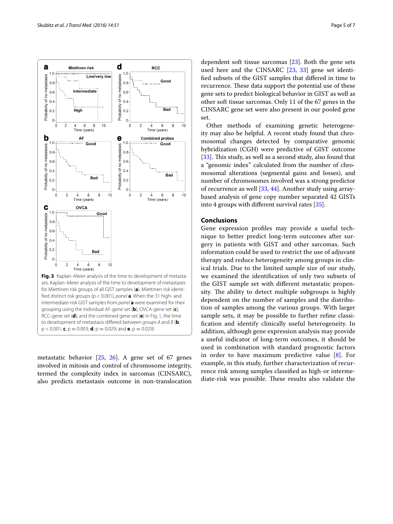

<span id="page-4-0"></span>metastatic behavior [\[25](#page-6-16), [26](#page-6-9)]. A gene set of 67 genes involved in mitosis and control of chromosome integrity, termed the complexity index in sarcomas (CINSARC), also predicts metastasis outcome in non-translocation dependent soft tissue sarcomas [[23\]](#page-6-8). Both the gene sets used here and the CINSARC [[23,](#page-6-8) [33](#page-6-17)] gene set identified subsets of the GIST samples that differed in time to recurrence. These data support the potential use of these gene sets to predict biological behavior in GIST as well as other soft tissue sarcomas. Only 11 of the 67 genes in the CINSARC gene set were also present in our pooled gene set.

Other methods of examining genetic heterogeneity may also be helpful. A recent study found that chromosomal changes detected by comparative genomic hybridization (CGH) were predictive of GIST outcome [[33\]](#page-6-17). This study, as well as a second study, also found that a "genomic index" calculated from the number of chromosomal alterations (segmental gains and losses), and number of chromosomes involved was a strong predictor of recurrence as well [\[33](#page-6-17), [44\]](#page-6-22). Another study using arraybased analysis of gene copy number separated 42 GISTs into 4 groups with different survival rates [\[35](#page-6-13)].

## **Conclusions**

Gene expression profiles may provide a useful technique to better predict long-term outcomes after surgery in patients with GIST and other sarcomas. Such information could be used to restrict the use of adjuvant therapy and reduce heterogeneity among groups in clinical trials. Due to the limited sample size of our study, we examined the identification of only two subsets of the GIST sample set with different metastatic propensity. The ability to detect multiple subgroups is highly dependent on the number of samples and the distribution of samples among the various groups. With larger sample sets, it may be possible to further refine classification and identify clinically useful heterogeneity. In addition, although gene expression analysis may provide a useful indicator of long-term outcomes, it should be used in combination with standard prognostic factors in order to have maximum predictive value [[8\]](#page-6-0). For example, in this study, further characterization of recurrence risk among samples classified as high-or intermediate-risk was possible. These results also validate the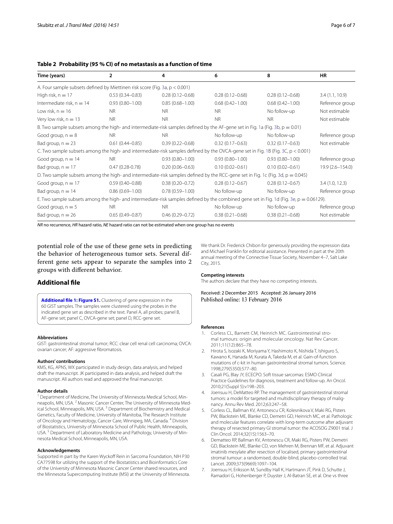## <span id="page-5-6"></span>**Table 2 Probability (95 % CI) of no metastasis as a function of time**

| Time (years)                                                                                                                               | $\overline{2}$      | 4                   | 6                   | 8                   | <b>HR</b>        |
|--------------------------------------------------------------------------------------------------------------------------------------------|---------------------|---------------------|---------------------|---------------------|------------------|
| A. Four sample subsets defined by Miettinen risk score (Fig. 3a, $p < 0.001$ )                                                             |                     |                     |                     |                     |                  |
| High risk, $n = 17$                                                                                                                        | $0.53(0.34 - 0.83)$ | $0.28(0.12 - 0.68)$ | $0.28(0.12 - 0.68)$ | $0.28(0.12 - 0.68)$ | 3.4(1.1, 10.9)   |
| Intermediate risk, $n = 14$                                                                                                                | $0.93(0.80 - 1.00)$ | $0.85(0.68 - 1.00)$ | $0.68(0.42 - 1.00)$ | $0.68(0.42 - 1.00)$ | Reference group  |
| Low risk, $n = 16$                                                                                                                         | <b>NR</b>           | <b>NR</b>           | <b>NR</b>           | No follow-up        | Not estimable    |
| Very low risk, $n = 13$                                                                                                                    | <b>NR</b>           | <b>NR</b>           | <b>NR</b>           | <b>NR</b>           | Not estimable    |
| B. Two sample subsets among the high- and intermediate-risk samples defined by the AF-gene set in Fig. 1a (Fig. 3b, $p = 0.01$ )           |                     |                     |                     |                     |                  |
| Good group, $n = 8$                                                                                                                        | <b>NR</b>           | <b>NR</b>           | No follow-up        | No follow-up        | Reference group  |
| Bad group, $n = 23$                                                                                                                        | $0.61(0.44 - 0.85)$ | $0.39(0.22 - 0.68)$ | $0.32(0.17 - 0.63)$ | $0.32(0.17 - 0.63)$ | Not estimable    |
| C. Two sample subsets among the high- and intermediate-risk samples defined by the OVCA-gene set in Fig. 1B (Fig. 3C, p < 0.001)           |                     |                     |                     |                     |                  |
| Good group, $n = 14$                                                                                                                       | <b>NR</b>           | $0.93(0.80 - 1.00)$ | $0.93(0.80 - 1.00)$ | $0.93(0.80 - 1.00)$ | Reference group  |
| Bad group, $n = 17$                                                                                                                        | $0.47(0.28-0.78)$   | $0.20(0.06 - 0.63)$ | $0.10(0.02 - 0.61)$ | $0.10(0.02 - 0.61)$ | 19.9 (2.6-154.0) |
| D. Two sample subsets among the high- and intermediate-risk samples defined by the RCC-gene set in Fig. 1c (Fig. 3d, $p = 0.045$ )         |                     |                     |                     |                     |                  |
| Good group, $n = 17$                                                                                                                       | $0.59(0.40 - 0.88)$ | $0.38(0.20 - 0.72)$ | $0.28(0.12 - 0.67)$ | $0.28(0.12 - 0.67)$ | 3.4(1.0, 12.3)   |
| Bad group, $n = 14$                                                                                                                        | $0.86(0.69 - 1.00)$ | $0.78(0.59 - 1.00)$ | No follow-up        | No follow-up        | Reference group  |
| E. Two sample subsets among the high- and intermediate-risk samples defined by the combined gene set in Fig. 1d (Fig. 3e, $p = 0.06129$ ). |                     |                     |                     |                     |                  |
| Good group, $n = 5$                                                                                                                        | <b>NR</b>           | NR.                 | No follow-up        | No follow-up        | Reference group  |
| Bad group, $n = 26$                                                                                                                        | $0.65(0.49 - 0.87)$ | $0.46(0.29 - 0.72)$ | $0.38(0.21 - 0.68)$ | $0.38(0.21 - 0.68)$ | Not estimable    |

*NR* no recurrence, *HR* hazard ratio, *NE* hazard ratio can not be estimated when one group has no events

potential role of the use of these gene sets in predicting the behavior of heterogeneous tumor sets. Several different gene sets appear to separate the samples into 2 groups with different behavior.

## **Additional file**

<span id="page-5-5"></span>**[Additional file 1: Figure S1.](http://dx.doi.org/10.1186/s12967-016-0802-3)** Clustering of gene expression in the 60 GIST samples. The samples were clustered using the probes in the indicated gene set as described in the text. Panel A, all probes; panel B, AF-gene set; panel C, OVCA-gene set; panel D, RCC-gene set.

#### **Abbreviations**

GIST: gastrointestinal stromal tumor; RCC: clear cell renal cell carcinoma; OVCA: ovarian cancer; AF: aggressive fibromatosis.

#### **Authors' contributions**

KMS, KG, APNS, WX participated in study design, data analysis, and helped draft the manuscript. JK participated in data analysis, and helped draft the manuscript. All authors read and approved the final manuscript.

#### **Author details**

<sup>1</sup> Department of Medicine, The University of Minnesota Medical School, Minneapolis, MN, USA. <sup>2</sup> Masonic Cancer Center, The University of Minnesota Medical School, Minneapolis, MN, USA. 3 Department of Biochemistry and Medical Genetics, Faculty of Medicine, University of Manitoba, The Research Institute of Oncology and Hematology, Cancer Care, Winnipeg, MA, Canada. 4 Division of Biostatistics, University of Minnesota School of Public Health, Minneapolis, USA. 5 Department of Laboratory Medicine and Pathology, University of Minnesota Medical School, Minneapolis, MN, USA.

#### **Acknowledgements**

Supported in part by the Karen Wyckoff Rein in Sarcoma Foundation, NIH P30 CA77598 for utilizing the support of the Biostatistics and Bioinformatics Core of the University of Minnesota Masonic Cancer Center shared resources, and the Minnesota Supercomputing Institute (MSI) at the University of Minnesota.

We thank Dr. Frederick Chibon for generously providing the expression data and Michael Franklin for editorial assistance. Presented in part at the 20th annual meeting of the Connective Tissue Society, November 4–7, Salt Lake City, 2015.

#### **Competing interests**

The authors declare that they have no competing interests.

Received: 2 December 2015 Accepted: 26 January 2016 Published online: 13 February 2016

#### **References**

- <span id="page-5-0"></span>1. Corless CL, Barnett CM, Heinrich MC. Gastrointestinal stromal tumours: origin and molecular oncology. Nat Rev Cancer. 2011;11(12):865–78.
- <span id="page-5-1"></span>2. Hirota S, Isozaki K, Moriyama Y, Hashimoto K, Nishida T, Ishiguro S, Kawano K, Hanada M, Kurata A, Takeda M, et al. Gain-of-function mutations of c-kit in human gastrointestinal stromal tumors. Science. 1998;279(5350):577–80.
- <span id="page-5-2"></span>3. Casali PG, Blay JY, ECECPO. Soft tissue sarcomas: ESMO Clinical Practice Guidelines for diagnosis, treatment and follow-up. An Oncol. 2010;21(Suppl 5):v198–203.
- <span id="page-5-3"></span>4. Joensuu H, DeMatteo RP. The management of gastrointestinal stromal tumors: a model for targeted and multidisciplinary therapy of malignancy. Annu Rev Med. 2012;63:247–58.
- <span id="page-5-4"></span>5. Corless CL, Ballman KV, Antonescu CR, Kolesnikova V, Maki RG, Pisters PW, Blackstein ME, Blanke CD, Demetri GD, Heinrich MC, et al. Pathologic and molecular features correlate with long-term outcome after adjuvant therapy of resected primary GI stromal tumor: the ACOSOG Z9001 trial. J Clin Oncol. 2014;32(15):1563–70.
- 6. Dematteo RP, Ballman KV, Antonescu CR, Maki RG, Pisters PW, Demetri GD, Blackstein ME, Blanke CD, von Mehren M, Brennan MF, et al. Adjuvant imatinib mesylate after resection of localised, primary gastrointestinal stromal tumour: a randomised, double-blind, placebo-controlled trial. Lancet. 2009;373(9669):1097–104.
- 7. Joensuu H, Eriksson M, Sundby Hall K, Hartmann JT, Pink D, Schutte J, Ramadori G, Hohenberger P, Duyster J, Al-Batran SE, et al. One vs three